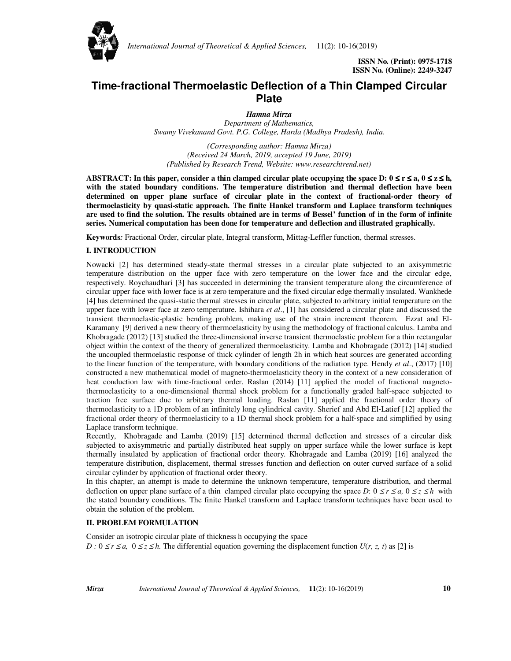

*International Journal of Theoretical & Applied Sciences,* 11(2): 10-16(2019)

 **ISSN No. (Print): 0975-1718 ISSN No. (Online): 2249-3247** 

# **Time-fractional Thermoelastic Deflection of a Thin Clamped Circular Plate**

*Hamna Mirza Department of Mathematics, Swamy Vivekanand Govt. P.G. College, Harda (Madhya Pradesh), India.* 

*(Corresponding author: Hamna Mirza) (Received 24 March, 2019, accepted 19 June, 2019) (Published by Research Trend, Website: www.researchtrend.net)* 

**ABSTRACT:** In this paper, consider a thin clamped circular plate occupying the space D:  $0 \le r \le a$ ,  $0 \le z \le h$ , **with the stated boundary conditions. The temperature distribution and thermal deflection have been determined on upper plane surface of circular plate in the context of fractional-order theory of thermoelasticity by quasi-static approach. The finite Hankel transform and Laplace transform techniques are used to find the solution. The results obtained are in terms of Bessel' function of in the form of infinite series. Numerical computation has been done for temperature and deflection and illustrated graphically.** 

**Keywords***:* Fractional Order, circular plate, Integral transform, Mittag-Leffler function, thermal stresses.

# **I. INTRODUCTION**

Nowacki [2] has determined steady-state thermal stresses in a circular plate subjected to an axisymmetric temperature distribution on the upper face with zero temperature on the lower face and the circular edge, respectively. Roychaudhari [3] has succeeded in determining the transient temperature along the circumference of circular upper face with lower face is at zero temperature and the fixed circular edge thermally insulated. Wankhede [4] has determined the quasi-static thermal stresses in circular plate, subjected to arbitrary initial temperature on the upper face with lower face at zero temperature. Ishihara *et al*., [1] has considered a circular plate and discussed the transient thermoelastic-plastic bending problem, making use of the strain increment theorem. Ezzat and El-Karamany [9] derived a new theory of thermoelasticity by using the methodology of fractional calculus. Lamba and Khobragade (2012) [13] studied the three-dimensional inverse transient thermoelastic problem for a thin rectangular object within the context of the theory of generalized thermoelasticity. Lamba and Khobragade (2012) [14] studied the uncoupled thermoelastic response of thick cylinder of length 2h in which heat sources are generated according to the linear function of the temperature, with boundary conditions of the radiation type. Hendy *et al*., (2017) [10] constructed a new mathematical model of magneto-thermoelasticity theory in the context of a new consideration of heat conduction law with time-fractional order. Raslan (2014) [11] applied the model of fractional magnetothermoelasticity to a one-dimensional thermal shock problem for a functionally graded half-space subjected to traction free surface due to arbitrary thermal loading. Raslan [11] applied the fractional order theory of thermoelasticity to a 1D problem of an infinitely long cylindrical cavity. Sherief and Abd El‐Latief [12] applied the fractional order theory of thermoelasticity to a 1D thermal shock problem for a half‐space and simplified by using Laplace transform technique.

Recently, Khobragade and Lamba (2019) [15] determined thermal deflection and stresses of a circular disk subjected to axisymmetric and partially distributed heat supply on upper surface while the lower surface is kept thermally insulated by application of fractional order theory. Khobragade and Lamba (2019) [16] analyzed the temperature distribution, displacement, thermal stresses function and deflection on outer curved surface of a solid circular cylinder by application of fractional order theory.

In this chapter, an attempt is made to determine the unknown temperature, temperature distribution, and thermal deflection on upper plane surface of a thin clamped circular plate occupying the space *D*:  $0 \le r \le a$ ,  $0 \le z \le h$  with the stated boundary conditions. The finite Hankel transform and Laplace transform techniques have been used to obtain the solution of the problem.

## **II. PROBLEM FORMULATION**

Consider an isotropic circular plate of thickness h occupying the space *D* :  $0 \le r \le a$ ,  $0 \le z \le h$ . The differential equation governing the displacement function *U*(*r*, *z*, *t*) as [2] is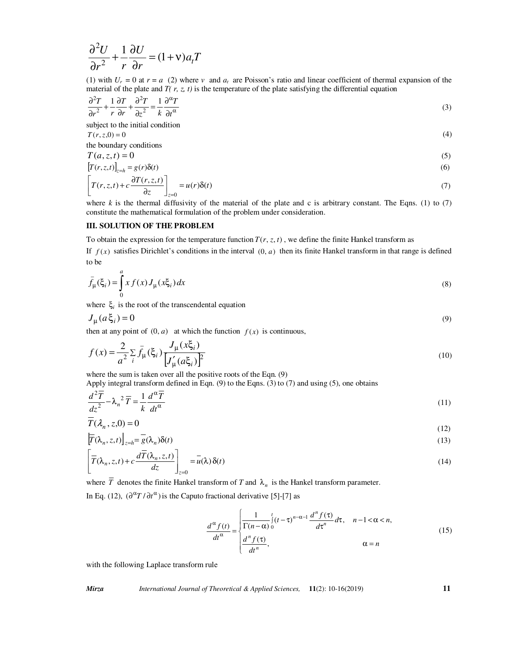$$
\frac{\partial^2 U}{\partial r^2} + \frac{1}{r} \frac{\partial U}{\partial r} = (1 + v)a_t T
$$

(1) with  $U_r = 0$  at  $r = a$  (2) where  $\nu$  and  $a_t$  are Poisson's ratio and linear coefficient of thermal expansion of the material of the plate and  $T(r, z, t)$  is the temperature of the plate satisfying the differential equation

$$
\frac{\partial^2 T}{\partial r^2} + \frac{1}{r} \frac{\partial T}{\partial r} + \frac{\partial^2 T}{\partial z^2} = \frac{1}{k} \frac{\partial^\alpha T}{\partial t^\alpha}
$$
(3)

subject to the initial condition

$$
T(r, z, 0) = 0
$$
\n(4)

\nthe boundary conditions

$$
T(a, z, t) = 0 \tag{5}
$$

$$
\left[T(r,z,t)\right]_{z=h} = g(r)\delta(t) \tag{6}
$$

$$
\left[T(r, z, t) + c \frac{\partial T(r, z, t)}{\partial z}\right]_{z=0} = u(r)\delta(t)
$$
\n(7)

where *k* is the thermal diffusivity of the material of the plate and c is arbitrary constant. The Eqns. (1) to (7) constitute the mathematical formulation of the problem under consideration.

### **III. SOLUTION OF THE PROBLEM**

To obtain the expression for the temperature function  $T(r, z, t)$ , we define the finite Hankel transform as

If  $f(x)$  satisfies Dirichlet's conditions in the interval  $(0, a)$  then its finite Hankel transform in that range is defined to be

$$
\bar{f}_{\mu}(\xi_i) = \int_0^a x f(x) J_{\mu}(x\xi_i) dx
$$
\n(8)

where  $\xi$ <sup>*i*</sup> is the root of the transcendental equation

$$
J_{\mu}(a\xi_i) = 0 \tag{9}
$$

then at any point of  $(0, a)$  at which the function  $f(x)$  is continuous,

$$
f(x) = \frac{2}{a^2} \sum_{i} \bar{f}_{\mu}(\xi_i) \frac{J_{\mu}(x\xi_i)}{[J'_{\mu}(a\xi_i)]^2}
$$
(10)

where the sum is taken over all the positive roots of the Eqn. (9)

Apply integral transform defined in Eqn.  $(9)$  to the Eqns.  $(3)$  to  $(7)$  and using  $(5)$ , one obtains

$$
\frac{d^2\overline{T}}{dz^2} - \lambda_n^2 \overline{T} = \frac{1}{k} \frac{d^{\alpha}\overline{T}}{dt^{\alpha}}
$$
(11)

$$
\overline{T}(\lambda_n, z, 0) = 0 \tag{12}
$$

$$
\left[\overline{T}(\lambda_n, z, t)\right]_{z=h} = \overline{g}(\lambda_n)\delta(t)
$$
\n(13)

$$
\left[\overline{T}(\lambda_n, z, t) + c \frac{d\overline{T}(\lambda_n, z, t)}{dz}\right]_{z=0} = \overline{u}(\lambda) \delta(t)
$$
\n(14)

where *T* denotes the finite Hankel transform of *T* and  $\lambda_n$  is the Hankel transform parameter.

In Eq. (12),  $(\partial^{\alpha}T/\partial t^{\alpha})$  is the Caputo fractional derivative [5]-[7] as

$$
\frac{d^{\alpha} f(t)}{dt^{\alpha}} = \begin{cases} \frac{1}{\Gamma(n-\alpha)} \int_{0}^{t} (t-\tau)^{n-\alpha-1} \frac{d^{n} f(\tau)}{d\tau^{n}} d\tau, & n-1 < \alpha < n, \\ \frac{d^{n} f(\tau)}{dt^{n}}, & \alpha = n \end{cases}
$$
\n(15)

with the following Laplace transform rule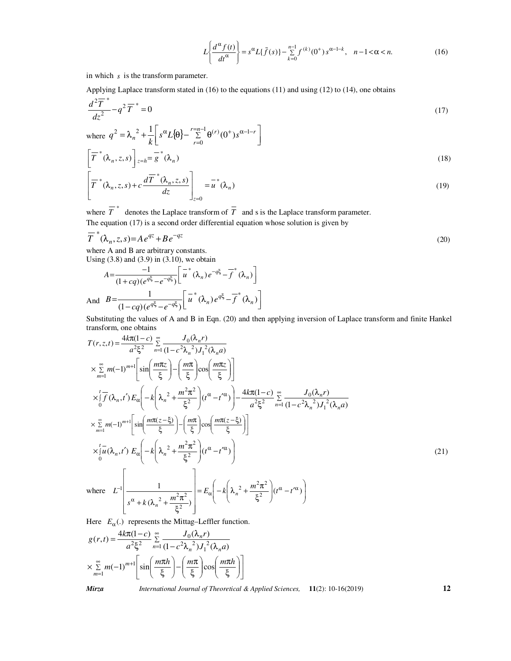$$
L\left\{\frac{d^{\alpha} f(t)}{dt^{\alpha}}\right\} = s^{\alpha} L\{\bar{f}(s)\} - \sum_{k=0}^{n-1} f^{(k)}(0^{+}) s^{\alpha - 1 - k}, \quad n - 1 < \alpha < n. \tag{16}
$$

in which *s* is the transform parameter.

Applying Laplace transform stated in (16) to the equations (11) and using (12) to (14), one obtains

$$
\frac{d^2\overline{T}^*}{dz^2} - q^2\overline{T}^* = 0\tag{17}
$$

where 
$$
q^2 = \lambda_n^2 + \frac{1}{k} \left[ s^\alpha L \{ \theta \} - \sum_{r=0}^{r=n-1} \theta^{(r)} (0^+) s^{\alpha - 1 - r} \right]
$$
  
\n
$$
\left[ \overline{T}^* (\lambda_n, z, s) \right]_{z=h} = \overline{g}^* (\lambda_n)
$$
\n(18)

$$
\left[\overline{T}^*(\lambda_n, z, s) + c \frac{d\overline{T}^*(\lambda_n, z, s)}{dz}\right]_{z=0} = \overline{u}^*(\lambda_n)
$$
\n(19)

where  $\overline{T}^*$  denotes the Laplace transform of  $\overline{T}$  and s is the Laplace transform parameter.

The equation  $(17)$  is a second order differential equation whose solution is given by

$$
\overline{T}^*(\lambda_n, z, s) = Ae^{qz} + Be^{-qz}
$$
\n(20)

where A and B are arbitrary constants.

Using  $(3.8)$  and  $(3.9)$  in  $(3.10)$ , we obtain

$$
A = \frac{-1}{(1+cq)(e^{q\xi} - e^{-q\xi})} \left[ \overline{u}^*(\lambda_n) e^{-q\xi} - \overline{f}^*(\lambda_n) \right]
$$
  
And 
$$
B = \frac{1}{(1-cq)(e^{q\xi} - e^{-q\xi})} \left[ \overline{u}^*(\lambda_n) e^{q\xi} - \overline{f}^*(\lambda_n) \right]
$$

Substituting the values of A and B in Eqn. (20) and then applying inversion of Laplace transform and finite Hankel transform, one obtains

$$
T(r, z, t) = \frac{4k\pi(1-c)}{a^2\xi^2} \sum_{n=1}^{\infty} \frac{J_0(\lambda_n r)}{(1-c^2\lambda_n^2)J_1^2(\lambda_n a)}
$$
  
\n
$$
\times \sum_{m=1}^{\infty} m(-1)^{m+1} \left[ \sin\left(\frac{m\pi z}{\xi}\right) - \left(\frac{m\pi}{\xi}\right) \cos\left(\frac{m\pi z}{\xi}\right) \right]
$$
  
\n
$$
\times \int_{0}^{t} \overline{f}(\lambda_n, t') E_{\alpha} \left( -k\left(\lambda_n^2 + \frac{m^2\pi^2}{\xi^2}\right) (t^{\alpha} - t'^{\alpha}) \right) - \frac{4k\pi(1-c)}{a^2\xi^2} \sum_{n=1}^{\infty} \frac{J_0(\lambda_n r)}{(1-c^2\lambda_n^2)J_1^2(\lambda_n a)}
$$
  
\n
$$
\times \sum_{m=1}^{\infty} m(-1)^{m+1} \left[ \sin\left(\frac{m\pi(z-\xi)}{\xi}\right) - \left(\frac{m\pi}{\xi}\right) \cos\left(\frac{m\pi(z-\xi)}{\xi}\right) \right]
$$
  
\n
$$
\times \int_{0}^{t} u(\lambda_n, t') E_{\alpha} \left( -k\left(\lambda_n^2 + \frac{m^2\pi^2}{\xi^2}\right) (t^{\alpha} - t'^{\alpha}) \right)
$$
  
\nwhere  $L^{-1} \left[ \frac{1}{s^{\alpha} + k(\lambda_n^2 + \frac{m^2\pi^2}{\xi^2})} \right] = E_{\alpha} \left( -k\left(\lambda_n^2 + \frac{m^2\pi^2}{\xi^2}\right) (t^{\alpha} - t'^{\alpha}) \right)$  (21)

Here  $E_{\alpha}$ (.) represents the Mittag–Leffler function.

$$
g(r,t) = \frac{4k\pi(1-c)}{a^2\xi^2} \sum_{n=1}^{\infty} \frac{J_0(\lambda_n r)}{(1-c^2\lambda_n^2)J_1^2(\lambda_n a)}
$$

$$
\times \sum_{m=1}^{\infty} m(-1)^{m+1} \left[ \sin\left(\frac{m\pi h}{\xi}\right) - \left(\frac{m\pi}{\xi}\right) \cos\left(\frac{m\pi h}{\xi}\right) \right]
$$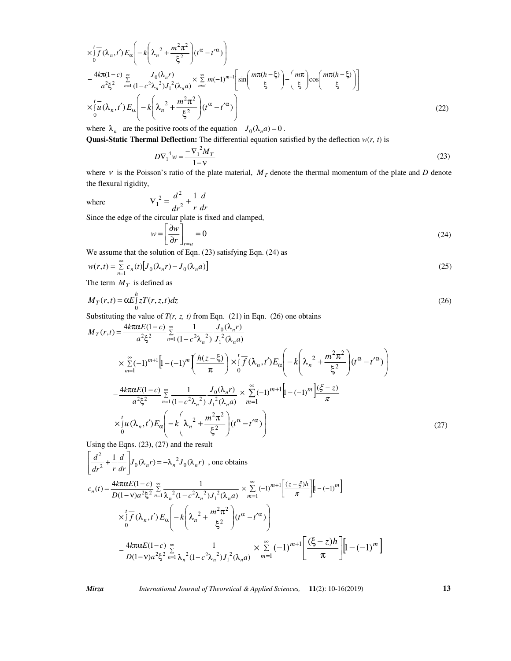$$
\times \int_{0}^{t} \overline{f}(\lambda_{n}, t') E_{\alpha} \left( -k \left( \lambda_{n}^{2} + \frac{m^{2} \pi^{2}}{\xi^{2}} \right) (t^{\alpha} - t'^{\alpha}) \right)
$$
  
\n
$$
- \frac{4k\pi (1-c)}{a^{2} \xi^{2}} \sum_{n=1}^{\infty} \frac{J_{0}(\lambda_{n} r)}{(1 - c^{2} \lambda_{n}^{2}) J_{1}^{2}(\lambda_{n} a)} \times \sum_{m=1}^{\infty} m (-1)^{m+1} \left[ \sin \left( \frac{m\pi (h - \xi)}{\xi} \right) - \left( \frac{m\pi}{\xi} \right) \cos \left( \frac{m\pi (h - \xi)}{\xi} \right) \right]
$$
  
\n
$$
\times \int_{0}^{t} \overline{u}(\lambda_{n}, t') E_{\alpha} \left( -k \left( \lambda_{n}^{2} + \frac{m^{2} \pi^{2}}{\xi^{2}} \right) (t^{\alpha} - t'^{\alpha}) \right)
$$
(22)

where  $\lambda_n$  are the positive roots of the equation  $J_0(\lambda_n a) = 0$ . **Quasi-Static Thermal Deflection:** The differential equation satisfied by the deflection *w*(*r, t*) is

$$
D\nabla_1^4 w = \frac{-\nabla_1^2 M_T}{1 - v} \tag{23}
$$

where  $\nu$  is the Poisson's ratio of the plate material,  $M_T$  denote the thermal momentum of the plate and *D* denote the flexural rigidity,

where  $dr^2$  *r*  $d^2$  1 2  $\nabla_1^2 = \frac{d^2}{l^2} +$ 

Since the edge of the circular plate is fixed and clamped,

$$
w = \left[\frac{\partial w}{\partial r}\right]_{r=a} = 0\tag{24}
$$

We assume that the solution of Eqn. (23) satisfying Eqn. (24) as

$$
w(r,t) = \sum_{n=1}^{\infty} c_n(t) \left[ J_0(\lambda_n r) - J_0(\lambda_n a) \right]
$$
\n(25)

The term  $M_T$  is defined as

$$
M_T(r,t) = \alpha E \int_0^h z T(r,z,t) dz
$$
\n(26)

Substituting the value of  $T(r, z, t)$  from Eqn. (21) in Eqn. (26) one obtains

*dr d*

$$
M_T(r,t) = \frac{4k\pi\alpha E(1-c)}{a^2\xi^2} \sum_{n=1}^{\infty} \frac{1}{(1-c^2\lambda_n^2)} \frac{J_0(\lambda_n r)}{J_1^2(\lambda_n a)}
$$
  
\n
$$
\times \sum_{m=1}^{\infty} (-1)^{m+1} \Big[ 1 - (-1)^m \Big( \frac{h(z-\xi)}{\pi} \Big) \times \int_0^t \overline{f}(\lambda_n, t') E_{\alpha} \Big( -k \Big( \lambda_n^2 + \frac{m^2 \pi^2}{\xi^2} \Big) (t^{\alpha} - t'^{\alpha}) \Big)
$$
  
\n
$$
- \frac{4k\pi\alpha E(1-c)}{a^2\xi^2} \sum_{n=1}^{\infty} \frac{1}{(1-c^2\lambda_n^2)} \frac{J_0(\lambda_n r)}{J_1^2(\lambda_n a)} \times \sum_{m=1}^{\infty} (-1)^{m+1} \Big[ 1 - (-1)^m \Big] \frac{(\xi - z)}{\pi}
$$
  
\n
$$
\times \int_0^t \overline{u}(\lambda_n, t') E_{\alpha} \Big( -k \Big( \lambda_n^2 + \frac{m^2 \pi^2}{\xi^2} \Big) (t^{\alpha} - t'^{\alpha}) \Big)
$$
  
\nUsing the Eens (23), (27) and the result

Using the Eqns. 
$$
(23)
$$
,  $(27)$  and the result

$$
\left[\frac{d^2}{dr^2} + \frac{1}{r} \frac{d}{dr}\right] J_0(\lambda_n r) = -\lambda_n^2 J_0(\lambda_n r) \text{ , one obtains}
$$
\n
$$
c_n(t) = \frac{4k\pi\alpha E(1-c)}{D(1-v)a^2 \xi^2} \sum_{n=1}^{\infty} \frac{1}{\lambda_n^2 (1-c^2\lambda_n^2) J_1^2(\lambda_n a)} \times \sum_{m=1}^{\infty} (-1)^{m+1} \left[\frac{(z-\xi)h}{\pi}\right] \left[1-(-1)^m\right]
$$
\n
$$
\times \int_0^t \overline{f}(\lambda_n, t') E_\alpha \left(-k\left(\lambda_n^2 + \frac{m^2 \pi^2}{\xi^2}\right) (t^\alpha - t'^\alpha)\right)
$$
\n
$$
-\frac{4k\pi\alpha E(1-c)}{D(1-v)a^2 \xi^2} \sum_{n=1}^{\infty} \frac{1}{\lambda_n^2 (1-c^2\lambda_n^2) J_1^2(\lambda_n a)} \times \sum_{m=1}^{\infty} (-1)^{m+1} \left[\frac{(\xi-z)h}{\pi}\right] \left[1-(-1)^m\right]
$$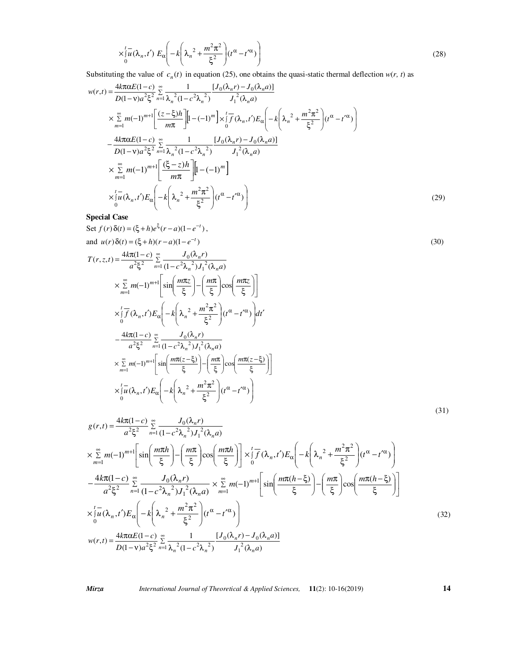$$
\times \int_{0}^{t} u(\lambda_n, t') E_{\alpha} \left( -k \left( \lambda_n^2 + \frac{m^2 \pi^2}{\xi^2} \right) (t^{\alpha} - t'^{\alpha}) \right)
$$
 (28)

Substituting the value of  $c_n(t)$  in equation (25), one obtains the quasi-static thermal deflection  $w(r, t)$  as

$$
w(r,t) = \frac{4k\pi\alpha E(1-c)}{D(1-v)a^{2}\xi^{2}} \sum_{n=1}^{\infty} \frac{1}{\lambda_{n}^{2}(1-c^{2}\lambda_{n}^{2})} \frac{[J_{0}(\lambda_{n}r)-J_{0}(\lambda_{n}a)]}{J_{1}^{2}(\lambda_{n}a)}
$$
  
\n
$$
\times \sum_{m=1}^{\infty} m(-1)^{m+1} \left[ \frac{(z-\xi)h}{m\pi} \right] \left[ 1-(-1)^{m} \right] \times \int_{0}^{t} \overline{f}(\lambda_{n},t') E_{\alpha} \left( -k \left( \lambda_{n}^{2} + \frac{m^{2}\pi^{2}}{\xi^{2}} \right) (t^{\alpha} - t'^{\alpha}) \right)
$$
  
\n
$$
- \frac{4k\pi\alpha E(1-c)}{D(1-v)a^{2}\xi^{2}} \sum_{n=1}^{\infty} \frac{1}{\lambda_{n}^{2}(1-c^{2}\lambda_{n}^{2})} \frac{[J_{0}(\lambda_{n}r)-J_{0}(\lambda_{n}a)]}{J_{1}^{2}(\lambda_{n}a)}
$$
  
\n
$$
\times \sum_{m=1}^{\infty} m(-1)^{m+1} \left[ \frac{(\xi-z)h}{m\pi} \right] \left[ 1-(-1)^{m} \right]
$$
  
\n
$$
\times [u(\lambda_{n},t') E_{\alpha} \left( -k \left( \lambda_{n}^{2} + \frac{m^{2}\pi^{2}}{\xi^{2}} \right) (t^{\alpha} - t'^{\alpha}) \right)
$$
  
\nS. i.e. (29)

**Special Case** 

Set 
$$
f(r)\delta(t) = (\xi + h)e^{\xi}(r-a)(1-e^{-t}),
$$
  
\nand  $u(r)\delta(t) = (\xi + h)(r-a)(1-e^{-t})$   
\n
$$
T(r, z, t) = \frac{4k\pi(1-c)}{a^2\xi^2} \sum_{n=1}^{\infty} \frac{J_0(\lambda_n r)}{(1-c^2\lambda_n^2)J_1^2(\lambda_n a)}
$$
\n
$$
\times \sum_{m=1}^{\infty} m(-1)^{m+1} \left[ sin\left(\frac{m\pi z}{\xi}\right) - \left(\frac{m\pi}{\xi}\right) cos\left(\frac{m\pi z}{\xi}\right) \right]
$$
\n
$$
\times \int_{0}^{t} f(\lambda_n, t') E_{\alpha} \left( -k\left(\lambda_n^2 + \frac{m^2\pi^2}{\xi^2}\right) (t^{\alpha} - t'^{\alpha}) \right) dt'
$$
\n
$$
- \frac{4k\pi(1-c)}{a^2\xi^2} \sum_{n=1}^{\infty} \frac{J_0(\lambda_n r)}{(1-c^2\lambda_n^2)J_1^2(\lambda_n a)}
$$
\n
$$
\times \sum_{m=1}^{\infty} m(-1)^{m+1} \left[ sin\left(\frac{m\pi(z-\xi)}{\xi}\right) - \left(\frac{m\pi}{\xi}\right) cos\left(\frac{m\pi(z-\xi)}{\xi}\right) \right]
$$
\n
$$
\times \int_{0}^{t} \overline{u}(\lambda_n, t') E_{\alpha} \left( -k\left(\lambda_n^2 + \frac{m^2\pi^2}{\xi^2}\right) (t^{\alpha} - t'^{\alpha}) \right)
$$
\n(31)

$$
g(r,t) = \frac{4k\pi(1-c)}{a^2\xi^2} \sum_{n=1}^{\infty} \frac{J_0(\lambda_n r)}{(1-c^2\lambda_n^2)J_1^2(\lambda_n a)}
$$
  
\n
$$
\times \sum_{m=1}^{\infty} m(-1)^{m+1} \left[ sin\left(\frac{m\pi h}{\xi}\right) - \left(\frac{m\pi}{\xi}\right) cos\left(\frac{m\pi h}{\xi}\right) \right] \times \int_0^t \overline{f}(\lambda_n, t') E_{\alpha} \left( -k\left(\lambda_n^2 + \frac{m^2\pi^2}{\xi^2}\right) (t^{\alpha} - t'^{\alpha}) \right)
$$
  
\n
$$
- \frac{4k\pi(1-c)}{a^2\xi^2} \sum_{n=1}^{\infty} \frac{J_0(\lambda_n r)}{(1-c^2\lambda_n^2)J_1^2(\lambda_n a)} \times \sum_{m=1}^{\infty} m(-1)^{m+1} \left[ sin\left(\frac{m\pi(h-\xi)}{\xi}\right) - \left(\frac{m\pi}{\xi}\right) cos\left(\frac{m\pi(h-\xi)}{\xi}\right) \right]
$$
  
\n
$$
\times \int_0^t \overline{u}(\lambda_n, t') E_{\alpha} \left( -k\left(\lambda_n^2 + \frac{m^2\pi^2}{\xi^2}\right) (t^{\alpha} - t'^{\alpha}) \right)
$$
  
\n
$$
w(r,t) = \frac{4k\pi\alpha E(1-c)}{D(1-\nu)a^2\xi^2} \sum_{n=1}^{\infty} \frac{1}{\lambda_n^2(1-c^2\lambda_n^2)} \frac{[J_0(\lambda_n r) - J_0(\lambda_n a)]}{J_1^2(\lambda_n a)}
$$
  
\n(32)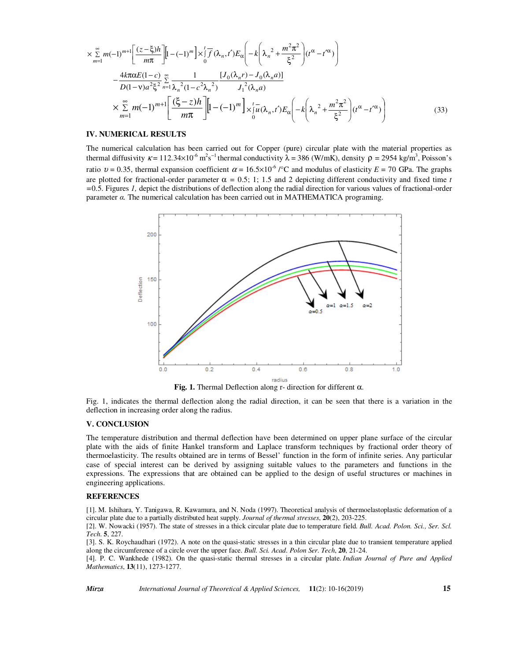$$
\times \sum_{m=1}^{\infty} m(-1)^{m+1} \left[ \frac{(z-\xi)h}{m\pi} \right] \left[ 1 - (-1)^m \right] \times \int_0^t \overline{f}(\lambda_n, t') E_{\alpha} \left( -k \left( \lambda_n^2 + \frac{m^2 \pi^2}{\xi^2} \right) (t^{\alpha} - t'^{\alpha}) \right)
$$
  
 
$$
- \frac{4k\pi \alpha E(1-c)}{D(1-\nu)a^2 \xi^2} \sum_{n=1}^{\infty} \frac{1}{\lambda_n^2 (1 - c^2 \lambda_n^2)} \frac{[J_0(\lambda_n r) - J_0(\lambda_n a)]}{J_1^2(\lambda_n a)}
$$
  
 
$$
\times \sum_{m=1}^{\infty} m(-1)^{m+1} \left[ \frac{(\xi - z)h}{m\pi} \right] \left[ 1 - (-1)^m \right] \times \int_0^t u(\lambda_n, t') E_{\alpha} \left( -k \left( \lambda_n^2 + \frac{m^2 \pi^2}{\xi^2} \right) (t^{\alpha} - t'^{\alpha}) \right)
$$
(33)

#### **IV. NUMERICAL RESULTS**

The numerical calculation has been carried out for Copper (pure) circular plate with the material properties as thermal diffusivity  $\kappa = 112.34 \times 10^{-6} \text{ m}^2 \text{s}^{-1}$  thermal conductivity  $\lambda = 386$  (W/mK), density  $\rho = 2954 \text{ kg/m}^3$ , Poisson's ratio  $v = 0.35$ , thermal expansion coefficient  $\alpha = 16.5 \times 10^{-6}$  /°C and modulus of elasticity  $E = 70$  GPa. The graphs are plotted for fractional-order parameter  $\alpha = 0.5$ ; 1; 1.5 and 2 depicting different conductivity and fixed time *t =*0.5. Figures *1,* depict the distributions of deflection along the radial direction for various values of fractional-order parameter  $\alpha$ . The numerical calculation has been carried out in MATHEMATICA programing.



**Fig. 1.** Thermal Deflection along r- direction for different α.

Fig. 1, indicates the thermal deflection along the radial direction, it can be seen that there is a variation in the deflection in increasing order along the radius.

#### **V. CONCLUSION**

The temperature distribution and thermal deflection have been determined on upper plane surface of the circular plate with the aids of finite Hankel transform and Laplace transform techniques by fractional order theory of thermoelasticity. The results obtained are in terms of Bessel' function in the form of infinite series. Any particular case of special interest can be derived by assigning suitable values to the parameters and functions in the expressions. The expressions that are obtained can be applied to the design of useful structures or machines in engineering applications.

#### **REFERENCES**

[1]. M. Ishihara, Y. Tanigawa, R. Kawamura, and N. Noda (1997). Theoretical analysis of thermoelastoplastic deformation of a circular plate due to a partially distributed heat supply. *Journal of thermal stresses*, **20**(2), 203-225.

[2]. W. Nowacki (1957). The state of stresses in a thick circular plate due to temperature field. *Bull. Acad. Polon. Sci., Ser. Scl. Tech*. **5**, 227.

[3]. S. K. Roychaudhari (1972). A note on the quasi-static stresses in a thin circular plate due to transient temperature applied along the circumference of a circle over the upper face. *Bull. Sci. Acad. Polon Ser. Tech*, **20**, 21-24.

[4]. P. C. Wankhede (1982). On the quasi-static thermal stresses in a circular plate. *Indian Journal of Pure and Applied Mathematics*, **13**(11), 1273-1277.